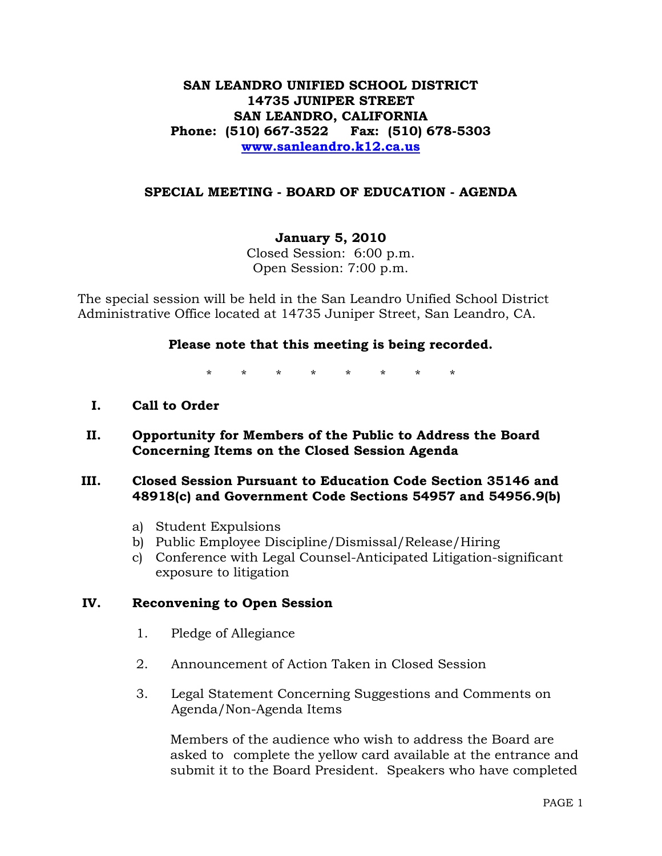## **SAN LEANDRO UNIFIED SCHOOL DISTRICT 14735 JUNIPER STREET SAN LEANDRO, CALIFORNIA Phone: (510) 667-3522 Fax: (510) 678-5303 [www.sanleandro.k12.ca.us](http://www.sanleandro.k12.ca.us/)**

### **SPECIAL MEETING - BOARD OF EDUCATION - AGENDA**

#### **January 5, 2010**

Closed Session: 6:00 p.m. Open Session: 7:00 p.m.

The special session will be held in the San Leandro Unified School District Administrative Office located at 14735 Juniper Street, San Leandro, CA.

#### **Please note that this meeting is being recorded.**

\* \* \* \* \* \* \* \*

- **I. Call to Order**
- **II. Opportunity for Members of the Public to Address the Board Concerning Items on the Closed Session Agenda**

#### **III. Closed Session Pursuant to Education Code Section 35146 and 48918(c) and Government Code Sections 54957 and 54956.9(b)**

- a) Student Expulsions
- b) Public Employee Discipline/Dismissal/Release/Hiring
- c) Conference with Legal Counsel-Anticipated Litigation-significant exposure to litigation

## **IV. Reconvening to Open Session**

- 1. Pledge of Allegiance
- 2. Announcement of Action Taken in Closed Session
- 3. Legal Statement Concerning Suggestions and Comments on Agenda/Non-Agenda Items

 Members of the audience who wish to address the Board are asked to complete the yellow card available at the entrance and submit it to the Board President. Speakers who have completed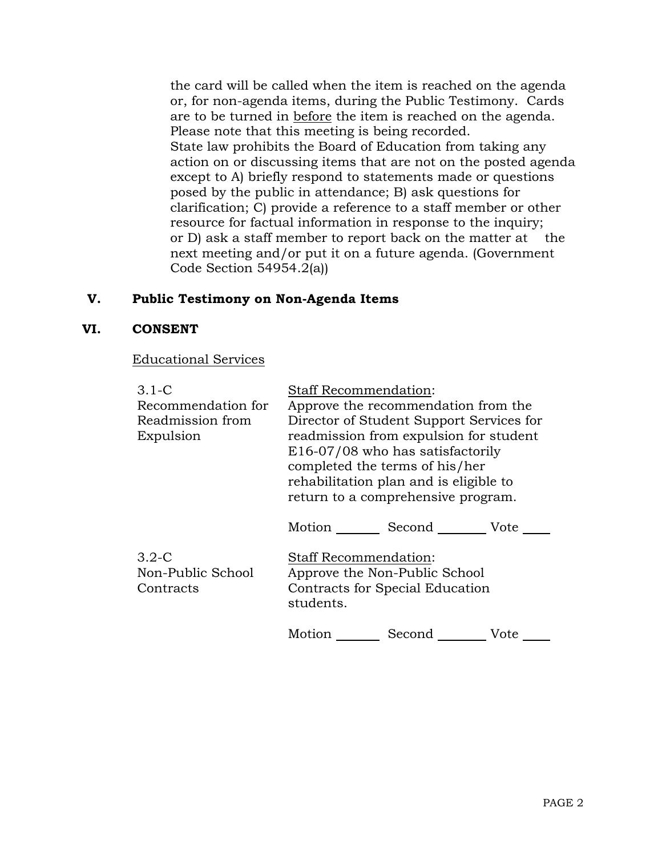the card will be called when the item is reached on the agenda or, for non-agenda items, during the Public Testimony. Cards are to be turned in before the item is reached on the agenda. Please note that this meeting is being recorded. State law prohibits the Board of Education from taking any action on or discussing items that are not on the posted agenda except to A) briefly respond to statements made or questions posed by the public in attendance; B) ask questions for clarification; C) provide a reference to a staff member or other resource for factual information in response to the inquiry; or D) ask a staff member to report back on the matter at the next meeting and/or put it on a future agenda. (Government Code Section 54954.2(a))

## **V. Public Testimony on Non-Agenda Items**

#### **VI. CONSENT**

Educational Services

| $3.1-C$                                   | <b>Staff Recommendation:</b>                                                                                                                                                                                                             |                    |      |
|-------------------------------------------|------------------------------------------------------------------------------------------------------------------------------------------------------------------------------------------------------------------------------------------|--------------------|------|
| Recommendation for                        | Approve the recommendation from the                                                                                                                                                                                                      |                    |      |
| Readmission from<br>Expulsion             | Director of Student Support Services for<br>readmission from expulsion for student<br>E16-07/08 who has satisfactorily<br>completed the terms of his/her<br>rehabilitation plan and is eligible to<br>return to a comprehensive program. |                    |      |
|                                           |                                                                                                                                                                                                                                          | Motion Second Vote |      |
| $3.2-C$<br>Non-Public School<br>Contracts | <b>Staff Recommendation:</b><br>Approve the Non-Public School<br>Contracts for Special Education<br>students.                                                                                                                            |                    |      |
|                                           | Motion                                                                                                                                                                                                                                   | Second             | Vote |